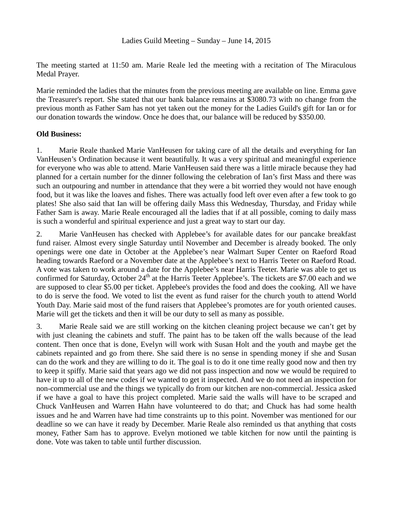The meeting started at 11:50 am. Marie Reale led the meeting with a recitation of The Miraculous Medal Prayer.

Marie reminded the ladies that the minutes from the previous meeting are available on line. Emma gave the Treasurer's report. She stated that our bank balance remains at \$3080.73 with no change from the previous month as Father Sam has not yet taken out the money for the Ladies Guild's gift for Ian or for our donation towards the window. Once he does that, our balance will be reduced by \$350.00.

## **Old Business:**

1. Marie Reale thanked Marie VanHeusen for taking care of all the details and everything for Ian VanHeusen's Ordination because it went beautifully. It was a very spiritual and meaningful experience for everyone who was able to attend. Marie VanHeusen said there was a little miracle because they had planned for a certain number for the dinner following the celebration of Ian's first Mass and there was such an outpouring and number in attendance that they were a bit worried they would not have enough food, but it was like the loaves and fishes. There was actually food left over even after a few took to go plates! She also said that Ian will be offering daily Mass this Wednesday, Thursday, and Friday while Father Sam is away. Marie Reale encouraged all the ladies that if at all possible, coming to daily mass is such a wonderful and spiritual experience and just a great way to start our day.

2. Marie VanHeusen has checked with Applebee's for available dates for our pancake breakfast fund raiser. Almost every single Saturday until November and December is already booked. The only openings were one date in October at the Applebee's near Walmart Super Center on Raeford Road heading towards Raeford or a November date at the Applebee's next to Harris Teeter on Raeford Road. A vote was taken to work around a date for the Applebee's near Harris Teeter. Marie was able to get us confirmed for Saturday, October 24<sup>th</sup> at the Harris Teeter Applebee's. The tickets are \$7.00 each and we are supposed to clear \$5.00 per ticket. Applebee's provides the food and does the cooking. All we have to do is serve the food. We voted to list the event as fund raiser for the church youth to attend World Youth Day. Marie said most of the fund raisers that Applebee's promotes are for youth oriented causes. Marie will get the tickets and then it will be our duty to sell as many as possible.

3. Marie Reale said we are still working on the kitchen cleaning project because we can't get by with just cleaning the cabinets and stuff. The paint has to be taken off the walls because of the lead content. Then once that is done, Evelyn will work with Susan Holt and the youth and maybe get the cabinets repainted and go from there. She said there is no sense in spending money if she and Susan can do the work and they are willing to do it. The goal is to do it one time really good now and then try to keep it spiffy. Marie said that years ago we did not pass inspection and now we would be required to have it up to all of the new codes if we wanted to get it inspected. And we do not need an inspection for non-commercial use and the things we typically do from our kitchen are non-commercial. Jessica asked if we have a goal to have this project completed. Marie said the walls will have to be scraped and Chuck VanHeusen and Warren Hahn have volunteered to do that; and Chuck has had some health issues and he and Warren have had time constraints up to this point. November was mentioned for our deadline so we can have it ready by December. Marie Reale also reminded us that anything that costs money, Father Sam has to approve. Evelyn motioned we table kitchen for now until the painting is done. Vote was taken to table until further discussion.